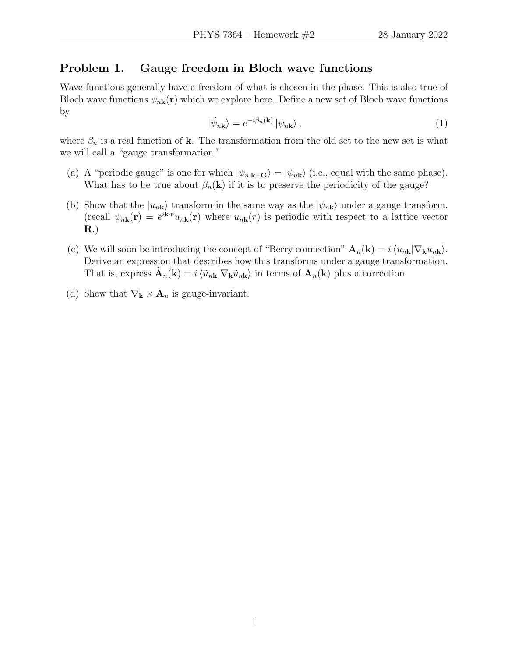## Problem 1. Gauge freedom in Bloch wave functions

Wave functions generally have a freedom of what is chosen in the phase. This is also true of Bloch wave functions  $\psi_{n\mathbf{k}}(\mathbf{r})$  which we explore here. Define a new set of Bloch wave functions by

$$
|\tilde{\psi}_{n\mathbf{k}}\rangle = e^{-i\beta_n(\mathbf{k})} |\psi_{n\mathbf{k}}\rangle, \qquad (1)
$$

where  $\beta_n$  is a real function of **k**. The transformation from the old set to the new set is what we will call a "gauge transformation."

- (a) A "periodic gauge" is one for which  $|\psi_{n,\mathbf{k}+\mathbf{G}}\rangle = |\psi_{n\mathbf{k}}\rangle$  (i.e., equal with the same phase). What has to be true about  $\beta_n(\mathbf{k})$  if it is to preserve the periodicity of the gauge?
- (b) Show that the  $|u_{n\mathbf{k}}\rangle$  transform in the same way as the  $|\psi_{n\mathbf{k}}\rangle$  under a gauge transform. (recall  $\psi_{n\mathbf{k}}(\mathbf{r}) = e^{i\mathbf{k}\cdot\mathbf{r}}u_{n\mathbf{k}}(\mathbf{r})$  where  $u_{n\mathbf{k}}(r)$  is periodic with respect to a lattice vector R.)
- (c) We will soon be introducing the concept of "Berry connection"  $\mathbf{A}_n(\mathbf{k}) = i \langle u_{n\mathbf{k}} | \nabla_{\mathbf{k}} u_{n\mathbf{k}} \rangle$ . Derive an expression that describes how this transforms under a gauge transformation. That is, express  $\tilde{\mathbf{A}}_n(\mathbf{k}) = i \langle \tilde{u}_{n\mathbf{k}} | \nabla_{\mathbf{k}} \tilde{u}_{n\mathbf{k}} \rangle$  in terms of  $\mathbf{A}_n(\mathbf{k})$  plus a correction.
- (d) Show that  $\nabla_{\mathbf{k}} \times \mathbf{A}_n$  is gauge-invariant.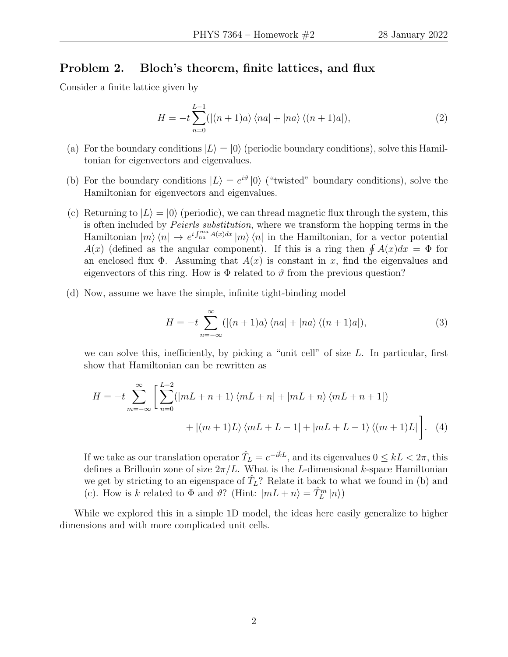### Problem 2. Bloch's theorem, finite lattices, and flux

Consider a finite lattice given by

$$
H = -t\sum_{n=0}^{L-1} (|(n+1)a\rangle\langle na| + |na\rangle\langle(n+1)a|),\tag{2}
$$

- (a) For the boundary conditions  $|L\rangle = |0\rangle$  (periodic boundary conditions), solve this Hamiltonian for eigenvectors and eigenvalues.
- (b) For the boundary conditions  $|L\rangle = e^{i\vartheta} |0\rangle$  ("twisted" boundary conditions), solve the Hamiltonian for eigenvectors and eigenvalues.
- (c) Returning to  $|L\rangle = |0\rangle$  (periodic), we can thread magnetic flux through the system, this is often included by Peierls substitution, where we transform the hopping terms in the Hamiltonian  $|m\rangle\langle n| \to e^{i \int_{na}^{ma} A(x)dx} |m\rangle\langle n|$  in the Hamiltonian, for a vector potential  $A(x)$  (defined as the angular component). If this is a ring then  $\oint A(x)dx = \Phi$  for an enclosed flux  $\Phi$ . Assuming that  $A(x)$  is constant in x, find the eigenvalues and eigenvectors of this ring. How is  $\Phi$  related to  $\vartheta$  from the previous question?
- (d) Now, assume we have the simple, infinite tight-binding model

$$
H = -t \sum_{n=-\infty}^{\infty} (|(n+1)a\rangle \langle na| + |na\rangle \langle (n+1)a|), \tag{3}
$$

we can solve this, inefficiently, by picking a "unit cell" of size  $L$ . In particular, first show that Hamiltonian can be rewritten as

$$
H = -t \sum_{m=-\infty}^{\infty} \left[ \sum_{n=0}^{L-2} (|mL+n+1\rangle \langle mL+n| + |mL+n\rangle \langle mL+n+1|) + |(m+1)L\rangle \langle mL+L-1| + |mL+L-1\rangle \langle (m+1)L| \right]. \tag{4}
$$

If we take as our translation operator  $\hat{T}_L = e^{-i\hat{k}L}$ , and its eigenvalues  $0 \leq kL < 2\pi$ , this defines a Brillouin zone of size  $2\pi/L$ . What is the L-dimensional k-space Hamiltonian we get by stricting to an eigenspace of  $\hat{T}_L$ ? Relate it back to what we found in (b) and (c). How is k related to  $\Phi$  and  $\vartheta$ ? (Hint:  $|mL + n\rangle = \hat{T}_L^m |n\rangle$ )

While we explored this in a simple 1D model, the ideas here easily generalize to higher dimensions and with more complicated unit cells.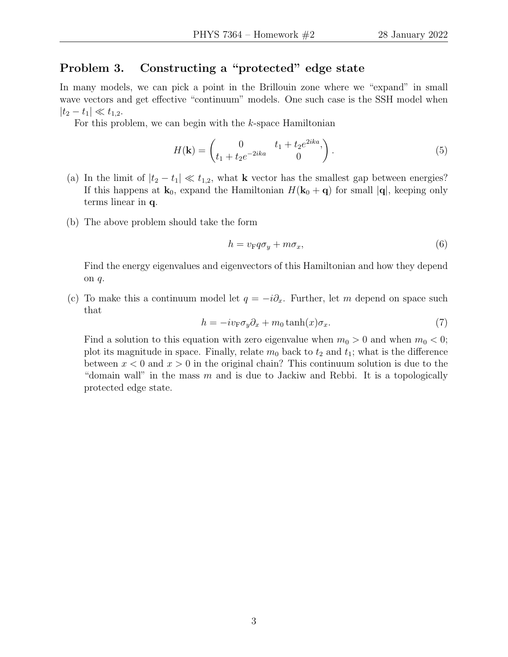# Problem 3. Constructing a "protected" edge state

In many models, we can pick a point in the Brillouin zone where we "expand" in small wave vectors and get effective "continuum" models. One such case is the SSH model when  $|t_2-t_1| \ll t_{1,2}.$ 

For this problem, we can begin with the  $k$ -space Hamiltonian

$$
H(\mathbf{k}) = \begin{pmatrix} 0 & t_1 + t_2 e^{2ika}, \\ t_1 + t_2 e^{-2ika} & 0 \end{pmatrix}.
$$
 (5)

- (a) In the limit of  $|t_2 t_1| \ll t_{1,2}$ , what k vector has the smallest gap between energies? If this happens at  $\mathbf{k}_0$ , expand the Hamiltonian  $H(\mathbf{k}_0 + \mathbf{q})$  for small  $|\mathbf{q}|$ , keeping only terms linear in q.
- (b) The above problem should take the form

$$
h = v_{\rm F} q \sigma_y + m \sigma_x, \tag{6}
$$

Find the energy eigenvalues and eigenvectors of this Hamiltonian and how they depend on q.

(c) To make this a continuum model let  $q = -i\partial_x$ . Further, let m depend on space such that

$$
h = -iv_{\mathcal{F}}\sigma_y \partial_x + m_0 \tanh(x)\sigma_x.
$$
 (7)

Find a solution to this equation with zero eigenvalue when  $m_0 > 0$  and when  $m_0 < 0$ ; plot its magnitude in space. Finally, relate  $m_0$  back to  $t_2$  and  $t_1$ ; what is the difference between  $x < 0$  and  $x > 0$  in the original chain? This continuum solution is due to the "domain wall" in the mass  $m$  and is due to Jackiw and Rebbi. It is a topologically protected edge state.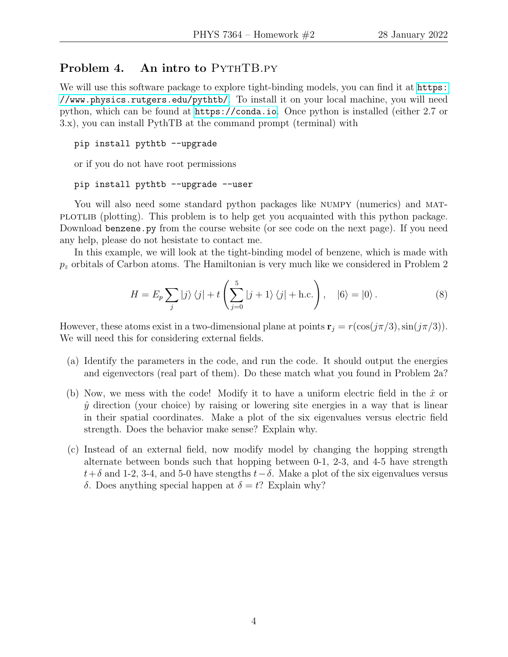## Problem 4. An intro to PYTHTB.PY

We will use this software package to explore tight-binding models, you can find it at [https:](https://www.physics.rutgers.edu/pythtb/) [//www.physics.rutgers.edu/pythtb/](https://www.physics.rutgers.edu/pythtb/). To install it on your local machine, you will need python, which can be found at <https://conda.io>. Once python is installed (either 2.7 or 3.x), you can install PythTB at the command prompt (terminal) with

```
pip install pythtb --upgrade
```
or if you do not have root permissions

#### pip install pythtb --upgrade --user

You will also need some standard python packages like NUMPY (numerics) and MATplotting). This problem is to help get you acquainted with this python package. Download benzene.py from the course website (or see code on the next page). If you need any help, please do not hesistate to contact me.

In this example, we will look at the tight-binding model of benzene, which is made with  $p<sub>z</sub>$  orbitals of Carbon atoms. The Hamiltonian is very much like we considered in Problem 2

$$
H = E_p \sum_j |j\rangle\langle j| + t \left(\sum_{j=0}^5 |j+1\rangle\langle j| + \text{h.c.}\right), \quad |6\rangle = |0\rangle. \tag{8}
$$

However, these atoms exist in a two-dimensional plane at points  $\mathbf{r}_j = r(\cos(j\pi/3),\sin(j\pi/3))$ . We will need this for considering external fields.

- (a) Identify the parameters in the code, and run the code. It should output the energies and eigenvectors (real part of them). Do these match what you found in Problem 2a?
- (b) Now, we mess with the code! Modify it to have a uniform electric field in the  $\hat{x}$  or  $\hat{y}$  direction (your choice) by raising or lowering site energies in a way that is linear in their spatial coordinates. Make a plot of the six eigenvalues versus electric field strength. Does the behavior make sense? Explain why.
- (c) Instead of an external field, now modify model by changing the hopping strength alternate between bonds such that hopping between 0-1, 2-3, and 4-5 have strength  $t+\delta$  and 1-2, 3-4, and 5-0 have stengths  $t-\delta$ . Make a plot of the six eigenvalues versus δ. Does anything special happen at  $δ = t$ ? Explain why?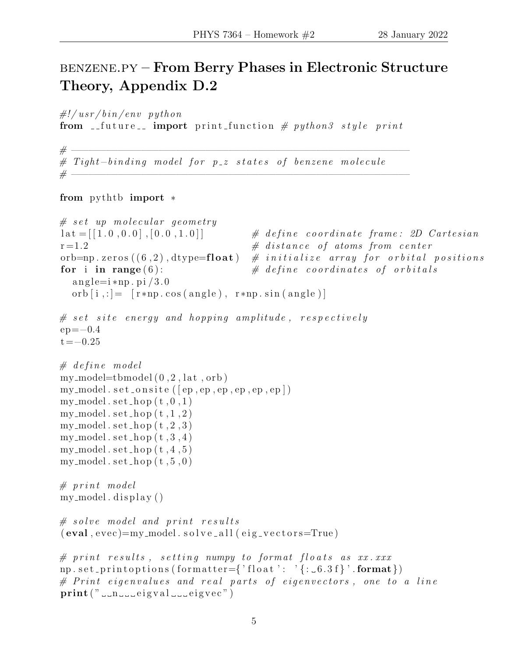# benzene.py – From Berry Phases in Electronic Structure Theory, Appendix D.2

 $\#!/usr/bin/env$  python

from  $\text{if future}$  import print function # python3 style print

# −−−−−−−−−−−−−−−−−−−−−−−−−−−−−−−−−−−−−−−−−−−−−−−−−−−−−−−−−− # Tight-binding model for p\_z states of benzene molecule # −−−−−−−−−−−−−−−−−−−−−−−−−−−−−−−−−−−−−−−−−−−−−−−−−−−−−−−−−−

from pythtb import ∗

```
# set up molecular geometry
\text{lat} = [[1.0, 0.0], [0.0, 1.0]] # define coordinate frame: 2D Cartesian
r = 1.2 # distance of atoms from center
orb=np. zeros ((6, 2), dtype=float ) # initialize array for orbital positions
for i in range (6): \# define coordinates of orbitals
  angle=i * np. pi /3.0orb [i, :] = [r * np \cdot cos(a ng le), r * np \cdot sin(a ng le)]# set site energy and hopping amplitude, respectively
ep = -0.4t = -0.25# \ define \ modelmy_model=tbmodel(0, 2, lat, orb)my_model.set-onsite([ep,ep,ep,ep,ep,ep,ep])my_model.set-hop(t, 0, 1)my_model.set-hop(t,1,2)my_model . set\_hop(t, 2, 3)my_model.set-hop(t, 3, 4)my_model.set-hop(t, 4, 5)my_model.set-hop(t, 5, 0)# print modelmy_model. display()
# solve model and print results
(eval, evec) = my_model. solveall (eig-vectors = True)# print results, setting numpy to format floats as xx. xxx.np. set_printoptions (formatter={'float': '{: \_6.3 \text{ f}}'. format})
# Printeigenvalues and real parts of eigenvectors, one to a lineprint(" \ldots n \ldots eigval \ldots eigve? )
```